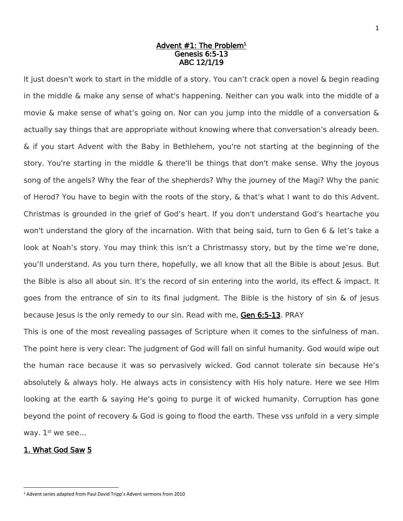### Advent #1: The Problem<sup>1</sup> Genesis 6:5-13 ABC 12/1/19

It just doesn't work to start in the middle of a story. You can't crack open a novel & begin reading in the middle & make any sense of what's happening. Neither can you walk into the middle of a movie & make sense of what's going on. Nor can you jump into the middle of a conversation & actually say things that are appropriate without knowing where that conversation's already been. & if you start Advent with the Baby in Bethlehem, you're not starting at the beginning of the story. You're starting in the middle & there'll be things that don't make sense. Why the joyous song of the angels? Why the fear of the shepherds? Why the journey of the Magi? Why the panic of Herod? You have to begin with the roots of the story, & that's what I want to do this Advent. Christmas is grounded in the grief of God's heart. If you don't understand God's heartache you won't understand the glory of the incarnation. With that being said, turn to Gen 6 & let's take a look at Noah's story. You may think this isn't a Christmassy story, but by the time we're done, you'll understand. As you turn there, hopefully, we all know that all the Bible is about Jesus. But the Bible is also all about sin. It's the record of sin entering into the world, its effect & impact. It goes from the entrance of sin to its final judgment. The Bible is the history of sin & of Jesus because Jesus is the only remedy to our sin. Read with me, Gen 6:5-13. PRAY

This is one of the most revealing passages of Scripture when it comes to the sinfulness of man. The point here is very clear: The judgment of God will fall on sinful humanity. God would wipe out the human race because it was so pervasively wicked. God cannot tolerate sin because He's absolutely & always holy. He always acts in consistency with His holy nature. Here we see HIm looking at the earth & saying He's going to purge it of wicked humanity. Corruption has gone beyond the point of recovery & God is going to flood the earth. These vss unfold in a very simple way. 1<sup>st</sup> we see...

## 1. What God Saw 5

 $\overline{\phantom{a}}$ 

<sup>1</sup> Advent series adapted from Paul David Tripp's Advent sermons from 2010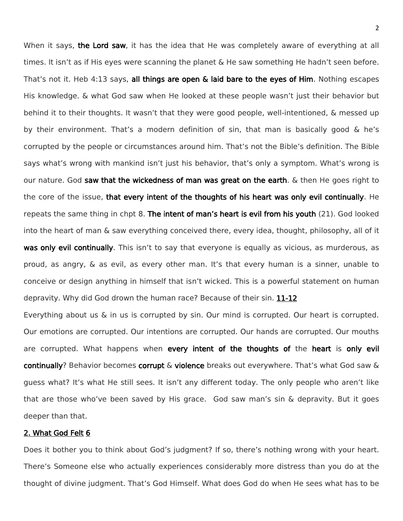When it says, the Lord saw, it has the idea that He was completely aware of everything at all times. It isn't as if His eyes were scanning the planet & He saw something He hadn't seen before. That's not it. Heb 4:13 says, all things are open & laid bare to the eyes of Him. Nothing escapes His knowledge. & what God saw when He looked at these people wasn't just their behavior but behind it to their thoughts. It wasn't that they were good people, well-intentioned, & messed up by their environment. That's a modern definition of sin, that man is basically good & he's corrupted by the people or circumstances around him. That's not the Bible's definition. The Bible says what's wrong with mankind isn't just his behavior, that's only a symptom. What's wrong is our nature. God saw that the wickedness of man was great on the earth.  $\&$  then He goes right to the core of the issue, that every intent of the thoughts of his heart was only evil continually. He repeats the same thing in chpt 8. The intent of man's heart is evil from his youth (21). God looked into the heart of man & saw everything conceived there, every idea, thought, philosophy, all of it was only evil continually. This isn't to say that everyone is equally as vicious, as murderous, as proud, as angry, & as evil, as every other man. It's that every human is a sinner, unable to conceive or design anything in himself that isn't wicked. This is a powerful statement on human depravity. Why did God drown the human race? Because of their sin. 11-12

Everything about us & in us is corrupted by sin. Our mind is corrupted. Our heart is corrupted. Our emotions are corrupted. Our intentions are corrupted. Our hands are corrupted. Our mouths are corrupted. What happens when every intent of the thoughts of the heart is only evil continually? Behavior becomes corrupt & violence breaks out everywhere. That's what God saw & guess what? It's what He still sees. It isn't any different today. The only people who aren't like that are those who've been saved by His grace. God saw man's sin & depravity. But it goes deeper than that.

#### 2. What God Felt 6

Does it bother you to think about God's judgment? If so, there's nothing wrong with your heart. There's Someone else who actually experiences considerably more distress than you do at the thought of divine judgment. That's God Himself. What does God do when He sees what has to be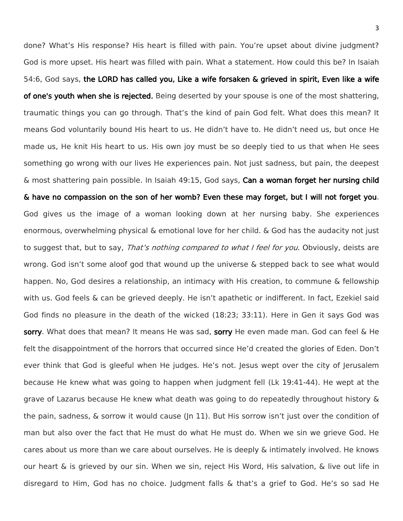done? What's His response? His heart is filled with pain. You're upset about divine judgment? God is more upset. His heart was filled with pain. What a statement. How could this be? In Isaiah 54:6, God says, the LORD has called you, Like a wife forsaken & grieved in spirit, Even like a wife of one's youth when she is rejected. Being deserted by your spouse is one of the most shattering, traumatic things you can go through. That's the kind of pain God felt. What does this mean? It means God voluntarily bound His heart to us. He didn't have to. He didn't need us, but once He made us, He knit His heart to us. His own joy must be so deeply tied to us that when He sees something go wrong with our lives He experiences pain. Not just sadness, but pain, the deepest & most shattering pain possible. In Isaiah 49:15, God says, Can a woman forget her nursing child & have no compassion on the son of her womb? Even these may forget, but I will not forget you. God gives us the image of a woman looking down at her nursing baby. She experiences enormous, overwhelming physical & emotional love for her child. & God has the audacity not just to suggest that, but to say, That's nothing compared to what I feel for you. Obviously, deists are wrong. God isn't some aloof god that wound up the universe & stepped back to see what would happen. No, God desires a relationship, an intimacy with His creation, to commune & fellowship with us. God feels & can be grieved deeply. He isn't apathetic or indifferent. In fact, Ezekiel said God finds no pleasure in the death of the wicked (18:23; 33:11). Here in Gen it says God was sorry. What does that mean? It means He was sad, sorry He even made man. God can feel & He felt the disappointment of the horrors that occurred since He'd created the glories of Eden. Don't ever think that God is gleeful when He judges. He's not. Jesus wept over the city of Jerusalem because He knew what was going to happen when judgment fell (Lk 19:41-44). He wept at the grave of Lazarus because He knew what death was going to do repeatedly throughout history & the pain, sadness, & sorrow it would cause (Jn 11). But His sorrow isn't just over the condition of man but also over the fact that He must do what He must do. When we sin we grieve God. He cares about us more than we care about ourselves. He is deeply & intimately involved. He knows our heart & is grieved by our sin. When we sin, reject His Word, His salvation, & live out life in disregard to Him, God has no choice. Judgment falls & that's a grief to God. He's so sad He

3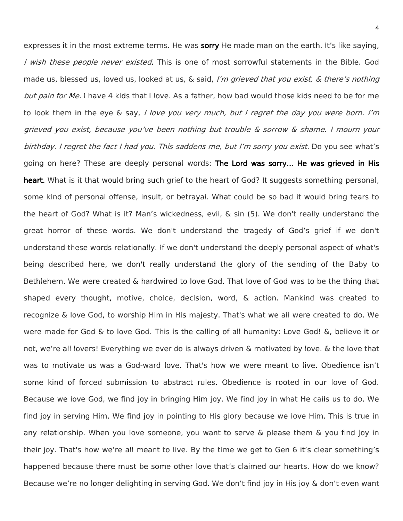expresses it in the most extreme terms. He was sorry He made man on the earth. It's like saying, I wish these people never existed. This is one of most sorrowful statements in the Bible. God made us, blessed us, loved us, looked at us, & said, I'm grieved that you exist, & there's nothing but pain for Me. I have 4 kids that I love. As a father, how bad would those kids need to be for me to look them in the eye  $\&$  say, I love you very much, but I regret the day you were born. I'm grieved you exist, because you've been nothing but trouble & sorrow & shame. I mourn your birthday. I regret the fact I had you. This saddens me, but I'm sorry you exist. Do you see what's going on here? These are deeply personal words: The Lord was sorry… He was grieved in His heart. What is it that would bring such grief to the heart of God? It suggests something personal, some kind of personal offense, insult, or betrayal. What could be so bad it would bring tears to the heart of God? What is it? Man's wickedness, evil, & sin (5). We don't really understand the great horror of these words. We don't understand the tragedy of God's grief if we don't understand these words relationally. If we don't understand the deeply personal aspect of what's being described here, we don't really understand the glory of the sending of the Baby to Bethlehem. We were created & hardwired to love God. That love of God was to be the thing that shaped every thought, motive, choice, decision, word, & action. Mankind was created to recognize & love God, to worship Him in His majesty. That's what we all were created to do. We were made for God & to love God. This is the calling of all humanity: Love God! &, believe it or not, we're all lovers! Everything we ever do is always driven & motivated by love. & the love that was to motivate us was a God-ward love. That's how we were meant to live. Obedience isn't some kind of forced submission to abstract rules. Obedience is rooted in our love of God. Because we love God, we find joy in bringing Him joy. We find joy in what He calls us to do. We find joy in serving Him. We find joy in pointing to His glory because we love Him. This is true in any relationship. When you love someone, you want to serve & please them & you find joy in their joy. That's how we're all meant to live. By the time we get to Gen 6 it's clear something's happened because there must be some other love that's claimed our hearts. How do we know? Because we're no longer delighting in serving God. We don't find joy in His joy & don't even want

4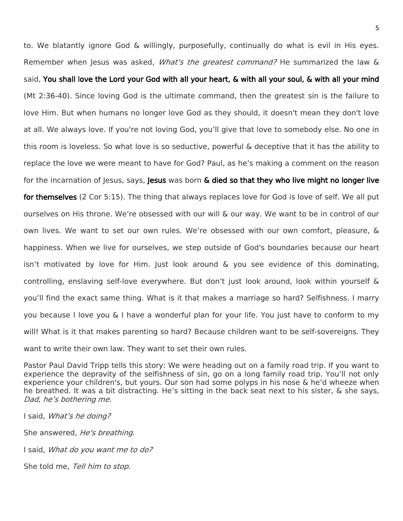to. We blatantly ignore God & willingly, purposefully, continually do what is evil in His eyes. Remember when Jesus was asked, *What's the greatest command?* He summarized the law & said, You shall love the Lord your God with all your heart, & with all your soul, & with all your mind (Mt 2:36-40). Since loving God is the ultimate command, then the greatest sin is the failure to love Him. But when humans no longer love God as they should, it doesn't mean they don't love at all. We always love. If you're not loving God, you'll give that love to somebody else. No one in this room is loveless. So what love is so seductive, powerful & deceptive that it has the ability to replace the love we were meant to have for God? Paul, as he's making a comment on the reason for the incarnation of Jesus, says, Jesus was born & died so that they who live might no longer live for themselves (2 Cor 5:15). The thing that always replaces love for God is love of self. We all put ourselves on His throne. We're obsessed with our will & our way. We want to be in control of our own lives. We want to set our own rules. We're obsessed with our own comfort, pleasure, & happiness. When we live for ourselves, we step outside of God's boundaries because our heart isn't motivated by love for Him. Just look around & you see evidence of this dominating, controlling, enslaving self-love everywhere. But don't just look around, look within yourself & you'll find the exact same thing. What is it that makes a marriage so hard? Selfishness. I marry you because I love you & I have a wonderful plan for your life. You just have to conform to my will! What is it that makes parenting so hard? Because children want to be self-sovereigns. They want to write their own law. They want to set their own rules.

Pastor Paul David Tripp tells this story: We were heading out on a family road trip. If you want to experience the depravity of the selfishness of sin, go on a long family road trip. You'll not only experience your children's, but yours. Our son had some polyps in his nose & he'd wheeze when he breathed. It was a bit distracting. He's sitting in the back seat next to his sister, & she says, Dad, he's bothering me.

I said, What's he doing?

She answered, *He's breathing*.

I said, What do you want me to do?

She told me, Tell him to stop.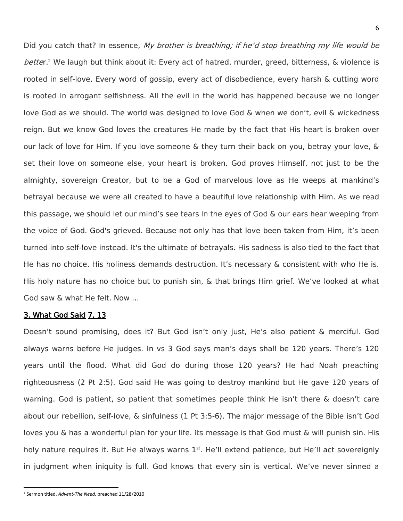Did you catch that? In essence, My brother is breathing; if he'd stop breathing my life would be better.<sup>2</sup> We laugh but think about it: Every act of hatred, murder, greed, bitterness, & violence is rooted in self-love. Every word of gossip, every act of disobedience, every harsh & cutting word is rooted in arrogant selfishness. All the evil in the world has happened because we no longer love God as we should. The world was designed to love God & when we don't, evil & wickedness reign. But we know God loves the creatures He made by the fact that His heart is broken over our lack of love for Him. If you love someone & they turn their back on you, betray your love, & set their love on someone else, your heart is broken. God proves Himself, not just to be the almighty, sovereign Creator, but to be a God of marvelous love as He weeps at mankind's betrayal because we were all created to have a beautiful love relationship with Him. As we read this passage, we should let our mind's see tears in the eyes of God & our ears hear weeping from the voice of God. God's grieved. Because not only has that love been taken from Him, it's been turned into self-love instead. It's the ultimate of betrayals. His sadness is also tied to the fact that He has no choice. His holiness demands destruction. It's necessary & consistent with who He is. His holy nature has no choice but to punish sin, & that brings Him grief. We've looked at what God saw & what He felt. Now …

# 3. What God Said 7, 13

Doesn't sound promising, does it? But God isn't only just, He's also patient & merciful. God always warns before He judges. In vs 3 God says man's days shall be 120 years. There's 120 years until the flood. What did God do during those 120 years? He had Noah preaching righteousness (2 Pt 2:5). God said He was going to destroy mankind but He gave 120 years of warning. God is patient, so patient that sometimes people think He isn't there & doesn't care about our rebellion, self-love, & sinfulness (1 Pt 3:5-6). The major message of the Bible isn't God loves you & has a wonderful plan for your life. Its message is that God must & will punish sin. His holy nature requires it. But He always warns 1<sup>st</sup>. He'll extend patience, but He'll act sovereignly in judgment when iniquity is full. God knows that every sin is vertical. We've never sinned a

 $\overline{\phantom{a}}$ 

<sup>2</sup> Sermon titled, *Advent-The Need,* preached 11/28/2010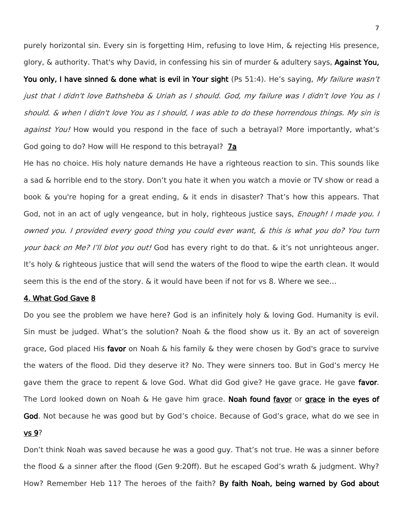purely horizontal sin. Every sin is forgetting Him, refusing to love Him, & rejecting His presence, glory, & authority. That's why David, in confessing his sin of murder & adultery says, Against You,

You only, I have sinned & done what is evil in Your sight (Ps 51:4). He's saying, My failure wasn't just that I didn't love Bathsheba & Uriah as I should. God, my failure was I didn't love You as I should. & when I didn't love You as I should, I was able to do these horrendous things. My sin is against You! How would you respond in the face of such a betrayal? More importantly, what's God going to do? How will He respond to this betrayal? 7a

He has no choice. His holy nature demands He have a righteous reaction to sin. This sounds like a sad & horrible end to the story. Don't you hate it when you watch a movie or TV show or read a book & you're hoping for a great ending, & it ends in disaster? That's how this appears. That God, not in an act of ugly vengeance, but in holy, righteous justice says, *Enough! I made you. I* owned you. I provided every good thing you could ever want, & this is what you do? You turn your back on Me? I'll blot you out! God has every right to do that. & it's not unrighteous anger. It's holy & righteous justice that will send the waters of the flood to wipe the earth clean. It would seem this is the end of the story. & it would have been if not for vs 8. Where we see…

### 4. What God Gave 8

Do you see the problem we have here? God is an infinitely holy & loving God. Humanity is evil. Sin must be judged. What's the solution? Noah & the flood show us it. By an act of sovereign grace, God placed His favor on Noah & his family & they were chosen by God's grace to survive the waters of the flood. Did they deserve it? No. They were sinners too. But in God's mercy He gave them the grace to repent & love God. What did God give? He gave grace. He gave favor. The Lord looked down on Noah & He gave him grace. Noah found favor or grace in the eyes of God. Not because he was good but by God's choice. Because of God's grace, what do we see in vs 9?

Don't think Noah was saved because he was a good guy. That's not true. He was a sinner before the flood & a sinner after the flood (Gen 9:20ff). But he escaped God's wrath & judgment. Why? How? Remember Heb 11? The heroes of the faith? By faith Noah, being warned by God about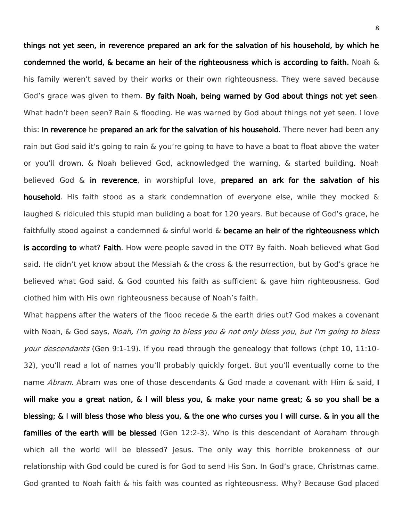things not yet seen, in reverence prepared an ark for the salvation of his household, by which he condemned the world,  $\&$  became an heir of the righteousness which is according to faith. Noah  $\&$ his family weren't saved by their works or their own righteousness. They were saved because God's grace was given to them. By faith Noah, being warned by God about things not yet seen. What hadn't been seen? Rain & flooding. He was warned by God about things not yet seen. I love this: In reverence he prepared an ark for the salvation of his household. There never had been any rain but God said it's going to rain & you're going to have to have a boat to float above the water or you'll drown. & Noah believed God, acknowledged the warning, & started building. Noah believed God & in reverence, in worshipful love, prepared an ark for the salvation of his household. His faith stood as a stark condemnation of everyone else, while they mocked & laughed & ridiculed this stupid man building a boat for 120 years. But because of God's grace, he faithfully stood against a condemned  $\&$  sinful world  $\&$  became an heir of the righteousness which is according to what? Faith. How were people saved in the OT? By faith. Noah believed what God said. He didn't yet know about the Messiah & the cross & the resurrection, but by God's grace he believed what God said. & God counted his faith as sufficient & gave him righteousness. God clothed him with His own righteousness because of Noah's faith.

What happens after the waters of the flood recede & the earth dries out? God makes a covenant with Noah, & God says, Noah, I'm going to bless you & not only bless you, but I'm going to bless your descendants (Gen 9:1-19). If you read through the genealogy that follows (chpt 10, 11:10-32), you'll read a lot of names you'll probably quickly forget. But you'll eventually come to the name *Abram*. Abram was one of those descendants & God made a covenant with Him & said, I will make you a great nation, & I will bless you, & make your name great; & so you shall be a blessing; & I will bless those who bless you, & the one who curses you I will curse. & in you all the families of the earth will be blessed (Gen 12:2-3). Who is this descendant of Abraham through which all the world will be blessed? Jesus. The only way this horrible brokenness of our relationship with God could be cured is for God to send His Son. In God's grace, Christmas came. God granted to Noah faith & his faith was counted as righteousness. Why? Because God placed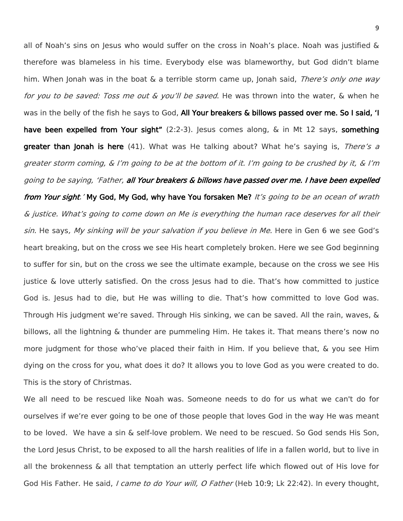all of Noah's sins on Jesus who would suffer on the cross in Noah's place. Noah was justified & therefore was blameless in his time. Everybody else was blameworthy, but God didn't blame him. When Jonah was in the boat  $\&$  a terrible storm came up, Jonah said, There's only one way for you to be saved: Toss me out & you'll be saved. He was thrown into the water, & when he was in the belly of the fish he says to God, All Your breakers & billows passed over me. So I said, 'I have been expelled from Your sight" (2:2-3). Jesus comes along, & in Mt 12 says, something greater than Jonah is here (41). What was He talking about? What he's saying is, There's a greater storm coming, & I'm going to be at the bottom of it. I'm going to be crushed by it, & I'm going to be saying, 'Father, all Your breakers & billows have passed over me. I have been expelled from Your sight.' My God, My God, why have You forsaken Me? It's going to be an ocean of wrath & justice. What's going to come down on Me is everything the human race deserves for all their sin. He says, My sinking will be your salvation if you believe in Me. Here in Gen 6 we see God's heart breaking, but on the cross we see His heart completely broken. Here we see God beginning to suffer for sin, but on the cross we see the ultimate example, because on the cross we see His justice & love utterly satisfied. On the cross Jesus had to die. That's how committed to justice God is. Jesus had to die, but He was willing to die. That's how committed to love God was. Through His judgment we're saved. Through His sinking, we can be saved. All the rain, waves, & billows, all the lightning & thunder are pummeling Him. He takes it. That means there's now no more judgment for those who've placed their faith in Him. If you believe that, & you see Him dying on the cross for you, what does it do? It allows you to love God as you were created to do. This is the story of Christmas.

We all need to be rescued like Noah was. Someone needs to do for us what we can't do for ourselves if we're ever going to be one of those people that loves God in the way He was meant to be loved. We have a sin & self-love problem. We need to be rescued. So God sends His Son, the Lord Jesus Christ, to be exposed to all the harsh realities of life in a fallen world, but to live in all the brokenness & all that temptation an utterly perfect life which flowed out of His love for God His Father. He said, *I came to do Your will, O Father* (Heb 10:9; Lk 22:42). In every thought,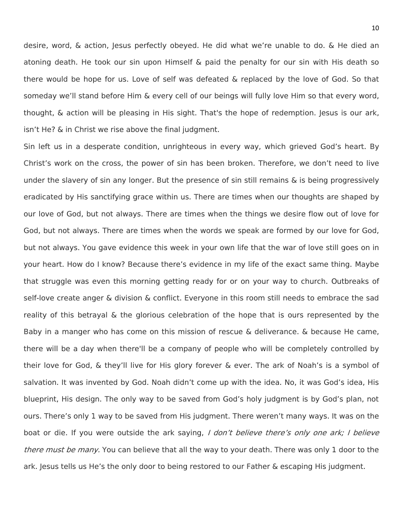desire, word, & action, Jesus perfectly obeyed. He did what we're unable to do. & He died an atoning death. He took our sin upon Himself & paid the penalty for our sin with His death so there would be hope for us. Love of self was defeated & replaced by the love of God. So that someday we'll stand before Him & every cell of our beings will fully love Him so that every word, thought, & action will be pleasing in His sight. That's the hope of redemption. Jesus is our ark, isn't He? & in Christ we rise above the final judgment.

Sin left us in a desperate condition, unrighteous in every way, which grieved God's heart. By Christ's work on the cross, the power of sin has been broken. Therefore, we don't need to live under the slavery of sin any longer. But the presence of sin still remains & is being progressively eradicated by His sanctifying grace within us. There are times when our thoughts are shaped by our love of God, but not always. There are times when the things we desire flow out of love for God, but not always. There are times when the words we speak are formed by our love for God, but not always. You gave evidence this week in your own life that the war of love still goes on in your heart. How do I know? Because there's evidence in my life of the exact same thing. Maybe that struggle was even this morning getting ready for or on your way to church. Outbreaks of self-love create anger & division & conflict. Everyone in this room still needs to embrace the sad reality of this betrayal & the glorious celebration of the hope that is ours represented by the Baby in a manger who has come on this mission of rescue & deliverance. & because He came, there will be a day when there'll be a company of people who will be completely controlled by their love for God, & they'll live for His glory forever & ever. The ark of Noah's is a symbol of salvation. It was invented by God. Noah didn't come up with the idea. No, it was God's idea, His blueprint, His design. The only way to be saved from God's holy judgment is by God's plan, not ours. There's only 1 way to be saved from His judgment. There weren't many ways. It was on the boat or die. If you were outside the ark saying, I don't believe there's only one ark; I believe there must be many. You can believe that all the way to your death. There was only 1 door to the ark. Jesus tells us He's the only door to being restored to our Father & escaping His judgment.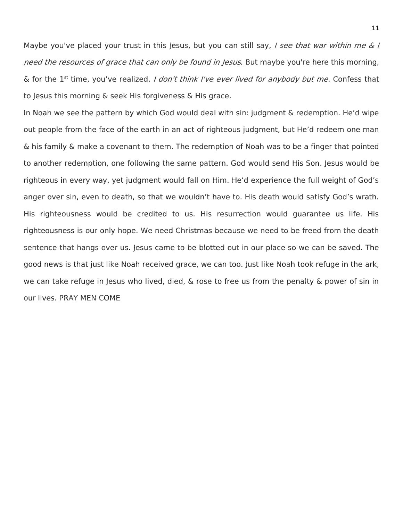Maybe you've placed your trust in this Jesus, but you can still say, I see that war within me & I need the resources of grace that can only be found in Jesus. But maybe you're here this morning, & for the 1<sup>st</sup> time, you've realized, *I don't think I've ever lived for anybody but me*. Confess that to Jesus this morning & seek His forgiveness & His grace.

In Noah we see the pattern by which God would deal with sin: judgment & redemption. He'd wipe out people from the face of the earth in an act of righteous judgment, but He'd redeem one man & his family & make a covenant to them. The redemption of Noah was to be a finger that pointed to another redemption, one following the same pattern. God would send His Son. Jesus would be righteous in every way, yet judgment would fall on Him. He'd experience the full weight of God's anger over sin, even to death, so that we wouldn't have to. His death would satisfy God's wrath. His righteousness would be credited to us. His resurrection would guarantee us life. His righteousness is our only hope. We need Christmas because we need to be freed from the death sentence that hangs over us. Jesus came to be blotted out in our place so we can be saved. The good news is that just like Noah received grace, we can too. Just like Noah took refuge in the ark, we can take refuge in Jesus who lived, died, & rose to free us from the penalty & power of sin in our lives. PRAY MEN COME